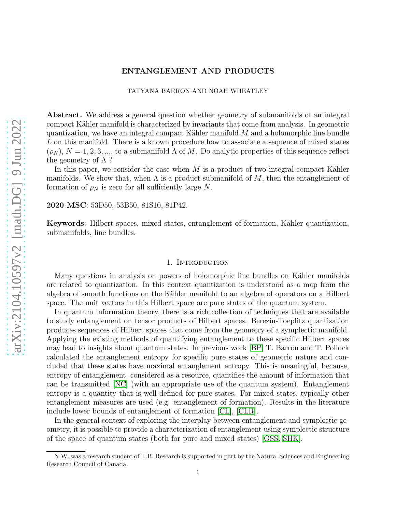# ENTANGLEMENT AND PRODUCTS

#### TATYANA BARRON AND NOAH WHEATLEY

Abstract. We address a general question whether geometry of submanifolds of an integral compact Kähler manifold is characterized by invariants that come from analysis. In geometric quantization, we have an integral compact Kähler manifold  $M$  and a holomorphic line bundle L on this manifold. There is a known procedure how to associate a sequence of mixed states  $(\rho_N)$ ,  $N = 1, 2, 3, \dots$ , to a submanifold  $\Lambda$  of M. Do analytic properties of this sequence reflect the geometry of  $\Lambda$  ?

In this paper, we consider the case when  $M$  is a product of two integral compact Kähler manifolds. We show that, when  $\Lambda$  is a product submanifold of M, then the entanglement of formation of  $\rho_N$  is zero for all sufficiently large N.

2020 MSC: 53D50, 53B50, 81S10, 81P42.

Keywords: Hilbert spaces, mixed states, entanglement of formation, Kähler quantization, submanifolds, line bundles.

### 1. INTRODUCTION

Many questions in analysis on powers of holomorphic line bundles on Kähler manifolds are related to quantization. In this context quantization is understood as a map from the algebra of smooth functions on the Kähler manifold to an algebra of operators on a Hilbert space. The unit vectors in this Hilbert space are pure states of the quantum system.

In quantum information theory, there is a rich collection of techniques that are available to study entanglement on tensor products of Hilbert spaces. Berezin-Toeplitz quantization produces sequences of Hilbert spaces that come from the geometry of a symplectic manifold. Applying the existing methods of quantifying entanglement to these specific Hilbert spaces may lead to insights about quantum states. In previous work [\[BP\]](#page-9-0) T. Barron and T. Pollock calculated the entanglement entropy for specific pure states of geometric nature and concluded that these states have maximal entanglement entropy. This is meaningful, because, entropy of entanglement, considered as a resource, quantifies the amount of information that can be transmitted [\[NC\]](#page-9-1) (with an appropriate use of the quantum system). Entanglement entropy is a quantity that is well defined for pure states. For mixed states, typically other entanglement measures are used (e.g. entanglement of formation). Results in the literature include lower bounds of entanglement of formation [\[CL\]](#page-9-2), [\[CLR\]](#page-9-3).

In the general context of exploring the interplay between entanglement and symplectic geometry, it is possible to provide a characterization of entanglement using symplectic structure of the space of quantum states (both for pure and mixed states) [\[OSS,](#page-9-4) [SHK\]](#page-9-5).

N.W. was a research student of T.B. Research is supported in part by the Natural Sciences and Engineering Research Council of Canada.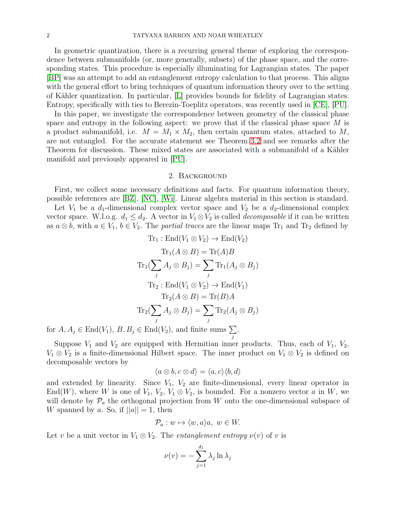In geometric quantization, there is a recurring general theme of exploring the correspondence between submanifolds (or, more generally, subsets) of the phase space, and the corresponding states. This procedure is especially illuminating for Lagrangian states. The paper [\[BP\]](#page-9-0) was an attempt to add an entanglement entropy calculation to that process. This aligns with the general effort to bring techniques of quantum information theory over to the setting of Kähler quantization. In particular, [\[L\]](#page-9-6) provides bounds for fidelity of Lagrangian states. Entropy, specifically with ties to Berezin-Toeplitz operators, was recently used in [\[CE\]](#page-9-7), [\[PU\]](#page-9-8).

In this paper, we investigate the correspondence between geometry of the classical phase space and entropy in the following aspect: we prove that if the classical phase space  $M$  is a product submanifold, i.e.  $M = M_1 \times M_2$ , then certain quantum states, attached to M, are not entangled. For the accurate statement see Theorem [3.2](#page-5-0) and see remarks after the Theorem for discussion. These mixed states are associated with a submanifold of a Kähler manifold and previously appeared in [\[PU\]](#page-9-8).

#### 2. Background

First, we collect some necessary definitions and facts. For quantum information theory, possible references are [\[BZ\]](#page-9-9), [\[NC\]](#page-9-1), [\[Wi\]](#page-9-10). Linear algebra material in this section is standard.

Let  $V_1$  be a  $d_1$ -dimensional complex vector space and  $V_2$  be a  $d_2$ -dimensional complex vector space. W.l.o.g.  $d_1 \leq d_2$ . A vector in  $V_1 \otimes V_2$  is called *decomposable* if it can be written as  $a \otimes b$ , with  $a \in V_1$ ,  $b \in V_2$ . The *partial traces* are the linear maps  $Tr_1$  and  $Tr_2$  defined by

$$
\text{Tr}_1: \text{End}(V_1 \otimes V_2) \to \text{End}(V_2)
$$
\n
$$
\text{Tr}_1(A \otimes B) = \text{Tr}(A)B
$$
\n
$$
\text{Tr}_1(\sum_j A_j \otimes B_j) = \sum_j \text{Tr}_1(A_j \otimes B_j)
$$
\n
$$
\text{Tr}_2: \text{End}(V_1 \otimes V_2) \to \text{End}(V_1)
$$
\n
$$
\text{Tr}_2(A \otimes B) = \text{Tr}(B)A
$$
\n
$$
\text{Tr}_2(\sum_j A_j \otimes B_j) = \sum_j \text{Tr}_2(A_j \otimes B_j)
$$
\n
$$
\text{End}(V_1), B, B_j \in \text{End}(V_2), \text{ and finite sums } \sum.
$$

for  $A, A_j \in \text{End}(V_1), B, B_j \in \text{End}(V_2)$ , and finite sums  $\sum$ j

Suppose  $V_1$  and  $V_2$  are equipped with Hermitian inner products. Thus, each of  $V_1$ ,  $V_2$ ,  $V_1 \otimes V_2$  is a finite-dimensional Hilbert space. The inner product on  $V_1 \otimes V_2$  is defined on decomposable vectors by

$$
\langle a \otimes b, c \otimes d \rangle = \langle a, c \rangle \langle b, d \rangle
$$

and extended by linearity. Since  $V_1$ ,  $V_2$  are finite-dimensional, every linear operator in End(W), where W is one of  $V_1, V_2, V_1 \otimes V_2$ , is bounded. For a nonzero vector a in W, we will denote by  $\mathcal{P}_a$  the orthogonal projection from W onto the one-dimensional subspace of W spanned by a. So, if  $||a|| = 1$ , then

$$
\mathcal{P}_a: w \mapsto \langle w, a \rangle a, \ w \in W.
$$

Let v be a unit vector in  $V_1 \otimes V_2$ . The *entanglement entropy*  $\nu(v)$  of v is

$$
\nu(v) = -\sum_{j=1}^{d_1} \lambda_j \ln \lambda_j
$$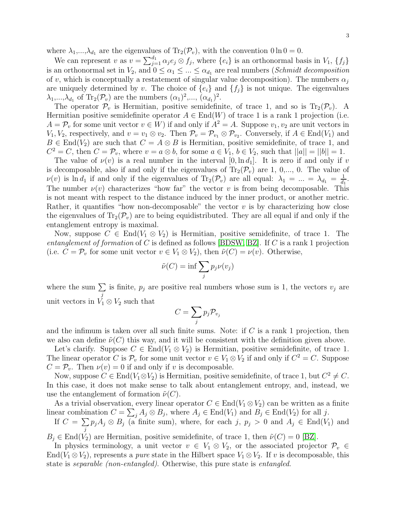where  $\lambda_1, ..., \lambda_{d_1}$  are the eigenvalues of  $Tr_2(\mathcal{P}_v)$ , with the convention  $0 \ln 0 = 0$ .

We can represent v as  $v = \sum_{j=1}^{d_1} \alpha_j e_j \otimes f_j$ , where  $\{e_i\}$  is an orthonormal basis in  $V_1$ ,  $\{f_j\}$ is an orthonormal set in  $V_2$ , and  $0 \leq \alpha_1 \leq ... \leq \alpha_{d_1}$  are real numbers (*Schmidt decomposition* of v, which is conceptually a restatement of singular value decomposition). The numbers  $\alpha_i$ are uniquely determined by v. The choice of  $\{e_i\}$  and  $\{f_i\}$  is not unique. The eigenvalues  $\lambda_1, ..., \lambda_{d_1}$  of  $\text{Tr}_2(\mathcal{P}_v)$  are the numbers  $(\alpha_1)^2, ..., (\alpha_{d_1})^2$ .

The operator  $\mathcal{P}_v$  is Hermitian, positive semidefinite, of trace 1, and so is  $\text{Tr}_2(\mathcal{P}_v)$ . A Hermitian positive semidefinite operator  $A \in End(W)$  of trace 1 is a rank 1 projection (i.e.  $A = \mathcal{P}_v$  for some unit vector  $v \in W$  if and only if  $A^2 = A$ . Suppose  $v_1, v_2$  are unit vectors in  $V_1, V_2$ , respectively, and  $v = v_1 \otimes v_2$ . Then  $\mathcal{P}_v = \mathcal{P}_{v_1} \otimes \mathcal{P}_{v_2}$ . Conversely, if  $A \in \text{End}(V_1)$  and  $B \in \text{End}(V_2)$  are such that  $C = A \otimes B$  is Hermitian, positive semidefinite, of trace 1, and  $C^2 = C$ , then  $C = \mathcal{P}_v$ , where  $v = a \otimes b$ , for some  $a \in V_1$ ,  $b \in V_2$ , such that  $||a|| = ||b|| = 1$ .

The value of  $\nu(v)$  is a real number in the interval  $[0, \ln d_1]$ . It is zero if and only if v is decomposable, also if and only if the eigenvalues of  $\text{Tr}_2(\mathcal{P}_v)$  are 1, 0,..., 0. The value of  $\nu(v)$  is ln  $d_1$  if and only if the eigenvalues of  $\text{Tr}_2(\mathcal{P}_v)$  are all equal:  $\lambda_1 = ... = \lambda_{d_1} = \frac{1}{d_1}$  $\frac{1}{d_1}$ . The number  $\nu(v)$  characterizes "how far" the vector v is from being decomposable. This is not meant with respect to the distance induced by the inner product, or another metric. Rather, it quantifies "how non-decomposable" the vector  $v$  is by characterizing how close the eigenvalues of  $\text{Tr}_2(\mathcal{P}_v)$  are to being equidistributed. They are all equal if and only if the entanglement entropy is maximal.

Now, suppose  $C \in End(V_1 \otimes V_2)$  is Hermitian, positive semidefinite, of trace 1. The entanglement of formation of C is defined as follows [\[BDSW,](#page-9-11) [BZ\]](#page-9-9). If C is a rank 1 projection (i.e.  $C = \mathcal{P}_v$  for some unit vector  $v \in V_1 \otimes V_2$ ), then  $\tilde{\nu}(C) = \nu(v)$ . Otherwise,

$$
\tilde{\nu}(C) = \inf \sum_j p_j \nu(v_j)
$$

where the sum  $\Sigma$ j is finite,  $p_j$  are positive real numbers whose sum is 1, the vectors  $v_j$  are unit vectors in  $V_1 \otimes V_2$  such that

$$
C=\sum_j p_j \mathcal{P}_{v_j}
$$

and the infimum is taken over all such finite sums. Note: if  $C$  is a rank 1 projection, then we also can define  $\tilde{\nu}(C)$  this way, and it will be consistent with the definition given above.

Let's clarify. Suppose  $C \in End(V_1 \otimes V_2)$  is Hermitian, positive semidefinite, of trace 1. The linear operator C is  $\mathcal{P}_v$  for some unit vector  $v \in V_1 \otimes V_2$  if and only if  $C^2 = C$ . Suppose  $C = \mathcal{P}_v$ . Then  $\nu(v) = 0$  if and only if v is decomposable.

Now, suppose  $C \in \text{End}(V_1 \otimes V_2)$  is Hermitian, positive semidefinite, of trace 1, but  $C^2 \neq C$ . In this case, it does not make sense to talk about entanglement entropy, and, instead, we use the entanglement of formation  $\tilde{\nu}(C)$ .

As a trivial observation, every linear operator  $C \in End(V_1 \otimes V_2)$  can be written as a finite linear combination  $C = \sum_j A_j \otimes B_j$ , where  $A_j \in \text{End}(V_1)$  and  $B_j \in \text{End}(V_2)$  for all j.

If  $C = \sum$ j  $p_jA_j \otimes B_j$  (a finite sum), where, for each j,  $p_j > 0$  and  $A_j \in End(V_1)$  and

 $B_i \in \text{End}(V_2)$  are Hermitian, positive semidefinite, of trace 1, then  $\tilde{\nu}(C) = 0$  [\[BZ\]](#page-9-9).

In physics terminology, a unit vector  $v \in V_1 \otimes V_2$ , or the associated projector  $\mathcal{P}_v \in$ End( $V_1 \otimes V_2$ ), represents a *pure* state in the Hilbert space  $V_1 \otimes V_2$ . If v is decomposable, this state is separable (non-entangled). Otherwise, this pure state is entangled.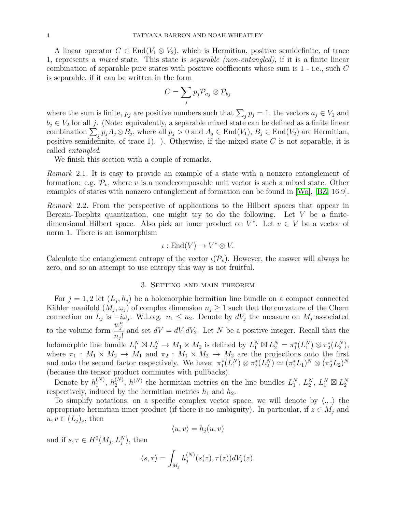A linear operator  $C \in End(V_1 \otimes V_2)$ , which is Hermitian, positive semidefinite, of trace 1, represents a mixed state. This state is separable (non-entangled), if it is a finite linear combination of separable pure states with positive coefficients whose sum is 1 - i.e., such C is separable, if it can be written in the form

$$
C=\sum_j p_j \mathcal{P}_{a_j}\otimes \mathcal{P}_{b_j}
$$

where the sum is finite,  $p_j$  are positive numbers such that  $\sum_j p_j = 1$ , the vectors  $a_j \in V_1$  and  $b_j \in V_2$  for all j. (Note: equivalently, a separable mixed state can be defined as a finite linear combination  $\sum_j p_j A_j \otimes B_j$ , where all  $p_j > 0$  and  $A_j \in \text{End}(V_1)$ ,  $B_j \in \text{End}(V_2)$  are Hermitian, positive semidefinite, of trace 1). ). Otherwise, if the mixed state  $C$  is not separable, it is called entangled.

We finish this section with a couple of remarks.

Remark 2.1. It is easy to provide an example of a state with a nonzero entanglement of formation: e.g.  $\mathcal{P}_v$ , where v is a nondecomposable unit vector is such a mixed state. Other examples of states with nonzero entanglement of formation can be found in [\[Wo\]](#page-9-12), [\[BZ,](#page-9-9) 16.9].

Remark 2.2. From the perspective of applications to the Hilbert spaces that appear in Berezin-Toeplitz quantization, one might try to do the following. Let  $V$  be a finitedimensional Hilbert space. Also pick an inner product on  $V^*$ . Let  $v \in V$  be a vector of norm 1. There is an isomorphism

$$
\iota: \mathrm{End}(V) \to V^* \otimes V.
$$

Calculate the entanglement entropy of the vector  $\iota(\mathcal{P}_v)$ . However, the answer will always be zero, and so an attempt to use entropy this way is not fruitful.

## 3. Setting and main theorem

For  $j = 1, 2$  let  $(L_j, h_j)$  be a holomorphic hermitian line bundle on a compact connected Kähler manifold  $(M_j, \omega_j)$  of complex dimension  $n_j \geq 1$  such that the curvature of the Chern connection on  $L_j$  is  $-i\omega_j$ . W.l.o.g.  $n_1 \leq n_2$ . Denote by  $dV_j$  the measure on  $M_j$  associated to the volume form  $w_j^n$  $\frac{n_j}{n_j!}$  and set  $dV = dV_1 dV_2$ . Let N be a positive integer. Recall that the holomorphic line bundle  $L_1^N \boxtimes L_2^N \to M_1 \times M_2$  is defined by  $L_1^N \boxtimes L_2^N = \pi_1^*(L_1^N) \otimes \pi_2^*(L_2^N)$ , where  $\pi_1 : M_1 \times M_2 \to M_1$  and  $\pi_2 : M_1 \times M_2 \to M_2$  are the projections onto the first and onto the second factor respectively. We have:  $\pi_1^*(L_1^N) \otimes \pi_2^*(L_2^N) \simeq (\pi_1^*L_1)^N \otimes (\pi_2^*L_2)^N$ (because the tensor product commutes with pullbacks).

Denote by  $h_1^{(N)}$  $\binom{N}{1}$ ,  $h_2^{(N)}$  $L_2^{(N)}$ ,  $h^{(N)}$  the hermitian metrics on the line bundles  $L_1^N$ ,  $L_2^N$ ,  $L_1^N \boxtimes L_2^N$ respectively, induced by the hermitian metrics  $h_1$  and  $h_2$ .

To simplify notations, on a specific complex vector space, we will denote by  $\langle ., . \rangle$  the appropriate hermitian inner product (if there is no ambiguity). In particular, if  $z \in M_j$  and  $u, v \in (L_i)_z$ , then

$$
\langle u, v \rangle = h_j(u, v)
$$

and if  $s, \tau \in H^0(M_j, L_j^N)$ , then

$$
\langle s, \tau \rangle = \int_{M_j} h_j^{(N)}(s(z), \tau(z)) dV_j(z).
$$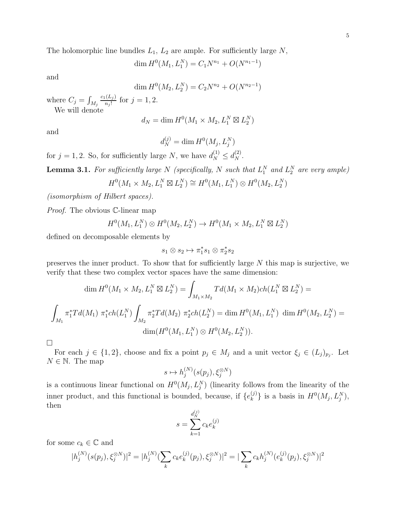The holomorphic line bundles  $L_1$ ,  $L_2$  are ample. For sufficiently large N,

$$
\dim H^0(M_1, L_1^N) = C_1 N^{n_1} + O(N^{n_1 - 1})
$$

and

$$
\dim H^0(M_2, L_2^N) = C_2 N^{n_2} + O(N^{n_2 - 1})
$$

where  $C_j = \int_{M_j}$  $c_1(L_j)$  $\frac{(L_j)}{n_j!}$  for  $j = 1, 2$ .

We will denote

$$
d_N = \dim H^0(M_1 \times M_2, L_1^N \boxtimes L_2^N)
$$

and

$$
d_N^{(j)} = \dim H^0(M_j, L_j^N)
$$

for  $j = 1, 2$ . So, for sufficiently large N, we have  $d_N^{(1)} \leq d_N^{(2)}$ .

**Lemma 3.1.** For sufficiently large N (specifically, N such that  $L_1^N$  and  $L_2^N$  are very ample)

$$
H^0(M_1 \times M_2, L_1^N \boxtimes L_2^N) \cong H^0(M_1, L_1^N) \otimes H^0(M_2, L_2^N)
$$

(isomorphism of Hilbert spaces).

Proof. The obvious C-linear map

$$
H^0(M_1, L_1^N) \otimes H^0(M_2, L_2^N) \to H^0(M_1 \times M_2, L_1^N \boxtimes L_2^N)
$$

defined on decomposable elements by

$$
s_1\otimes s_2\mapsto \pi_1^*s_1\otimes \pi_2^*s_2
$$

preserves the inner product. To show that for sufficiently large N this map is surjective, we verify that these two complex vector spaces have the same dimension:

$$
\dim H^0(M_1 \times M_2, L_1^N \boxtimes L_2^N) = \int_{M_1 \times M_2} T d(M_1 \times M_2) ch(L_1^N \boxtimes L_2^N) =
$$
  

$$
\int_{M_1} \pi_1^* T d(M_1) \ \pi_1^* ch(L_1^N) \int_{M_2} \pi_2^* T d(M_2) \ \pi_2^* ch(L_2^N) = \dim H^0(M_1, L_1^N) \ \dim H^0(M_2, L_2^N) =
$$
  

$$
\dim(H^0(M_1, L_1^N) \otimes H^0(M_2, L_2^N)).
$$

 $\Box$ 

For each  $j \in \{1,2\}$ , choose and fix a point  $p_j \in M_j$  and a unit vector  $\xi_j \in (L_j)_{p_j}$ . Let  $N \in \mathbb{N}$ . The map

$$
s \mapsto h_j^{(N)}(s(p_j), \xi_j^{\otimes N})
$$

is a continuous linear functional on  $H^0(M_j, L_j^N)$  (linearity follows from the linearity of the inner product, and this functional is bounded, because, if  ${e_k^{(j)}}$  ${k \choose k}$  is a basis in  $H^0(M_j, L_j^N)$ , then

$$
s = \sum_{k=1}^{d_N^{(j)}} c_k e_k^{(j)}
$$

for some  $c_k \in \mathbb{C}$  and

$$
|h_j^{(N)}(s(p_j), \xi_j^{\otimes N})|^2 = |h_j^{(N)}(\sum_k c_k e_k^{(j)}(p_j), \xi_j^{\otimes N})|^2 = |\sum_k c_k h_j^{(N)}(e_k^{(j)}(p_j), \xi_j^{\otimes N})|^2
$$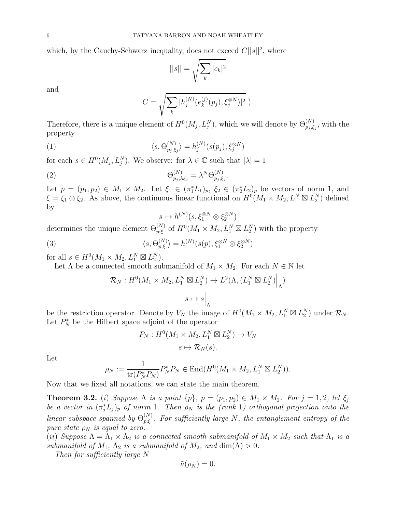which, by the Cauchy-Schwarz inequality, does not exceed  $C||s||^2$ , where

$$
||s|| = \sqrt{\sum_{k} |c_k|^2}
$$

and

<span id="page-5-3"></span>
$$
C = \sqrt{\sum_{k} |h_j^{(N)}(e_k^{(j)}(p_j), \xi_j^{\otimes N})|^2} ).
$$

Therefore, there is a unique element of  $H^0(M_j, L_j^N)$ , which we will denote by  $\Theta_{p_j, \xi_j}^{(N)}$ , with the property

(1) 
$$
\langle s, \Theta_{p_j, \xi_j}^{(N)} \rangle = h_j^{(N)}(s(p_j), \xi_j^{\otimes N})
$$

for each  $s \in H^0(M_j, L_j^N)$ . We observe: for  $\lambda \in \mathbb{C}$  such that  $|\lambda| = 1$ 

(2) 
$$
\Theta_{p_j,\lambda\xi_j}^{(N)} = \lambda^N \Theta_{p_j,\xi_j}^{(N)}.
$$

Let  $p = (p_1, p_2) \in M_1 \times M_2$ . Let  $\xi_1 \in (\pi_1^* L_1)_p$ ,  $\xi_2 \in (\pi_2^* L_2)_p$  be vectors of norm 1, and  $\xi = \xi_1 \otimes \xi_2$ . As above, the continuous linear functional on  $H^{0}(M_1 \times M_2, L_1^N \boxtimes L_2^N)$  defined by

<span id="page-5-2"></span><span id="page-5-1"></span>
$$
s\mapsto h^{(N)}(s,\xi_1^{\otimes N}\otimes \xi_2^{\otimes N})
$$

determines the unique element  $\Theta_{p;\xi}^{(N)}$  of  $H^0(M_1 \times M_2, L_1^N \boxtimes L_2^N)$  with the property

(3) 
$$
\langle s, \Theta_{p;\xi}^{(N)} \rangle = h^{(N)}(s(p), \xi_1^{\otimes N} \otimes \xi_2^{\otimes N})
$$

for all  $s \in H^0(M_1 \times M_2, L_1^N \boxtimes L_2^N)$ .

Let  $\Lambda$  be a connected smooth submanifold of  $M_1\times M_2.$  For each  $N\in\mathbb{N}$  let

$$
\mathcal{R}_N: H^0(M_1 \times M_2, L_1^N \boxtimes L_2^N) \to L^2(\Lambda, (L_1^N \boxtimes L_2^N)\Big|_{\Lambda})
$$

$$
s \mapsto s\Big|_{\Lambda}
$$

be the restriction operator. Denote by  $V_N$  the image of  $H^0(M_1 \times M_2, L_1^N \boxtimes L_2^N)$  under  $\mathcal{R}_N$ . Let  $P_N^*$  be the Hilbert space adjoint of the operator

$$
P_N: H^0(M_1 \times M_2, L_1^N \boxtimes L_2^N) \to V_N
$$
  

$$
s \mapsto \mathcal{R}_N(s).
$$

Let

$$
\rho_N := \frac{1}{\text{tr}(P_N^* P_N)} P_N^* P_N \in \text{End}(H^0(M_1 \times M_2, L_1^N \boxtimes L_2^N)).
$$

Now that we fixed all notations, we can state the main theorem.

<span id="page-5-0"></span>**Theorem 3.2.** (i) Suppose  $\Lambda$  is a point  $\{p\}$ ,  $p = (p_1, p_2) \in M_1 \times M_2$ . For  $j = 1, 2$ , let  $\xi_j$ be a vector in  $(\pi_j^* L_j)_p$  of norm 1. Then  $\rho_N$  is the (rank 1) orthogonal projection onto the linear subspace spanned by  $\Theta_{n;\varepsilon}^{(N)}$  $p_{p;\xi}^{(N)}$ . For sufficiently large N, the entanglement entropy of the pure state  $\rho_N$  is equal to zero.

(ii) Suppose  $\Lambda = \Lambda_1 \times \Lambda_2$  is a connected smooth submanifold of  $M_1 \times M_2$  such that  $\Lambda_1$  is a submanifold of  $M_1$ ,  $\Lambda_2$  is a submanifold of  $M_2$ , and  $\dim(\Lambda) > 0$ .

Then for sufficiently large N

$$
\tilde{\nu}(\rho_N)=0.
$$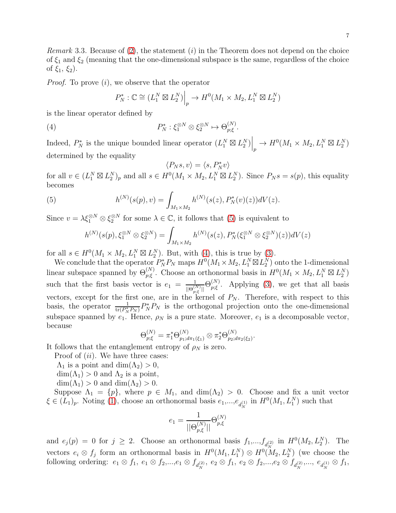*Remark* 3.3. Because of  $(2)$ , the statement  $(i)$  in the Theorem does not depend on the choice of  $\xi_1$  and  $\xi_2$  (meaning that the one-dimensional subspace is the same, regardless of the choice of  $\xi_1, \xi_2$ ).

*Proof.* To prove  $(i)$ , we observe that the operator

$$
P_N^*: \mathbb{C} \cong (L_1^N \boxtimes L_2^N)\Big|_p \to H^0(M_1 \times M_2, L_1^N \boxtimes L_2^N)
$$

is the linear operator defined by

(4) 
$$
P_N^* : \xi_1^{\otimes N} \otimes \xi_2^{\otimes N} \mapsto \Theta_{p;\xi}^{(N)}.
$$

Indeed,  $P_N^*$  is the unique bounded linear operator  $(L_1^N \boxtimes L_2^N) \Big|_p \to H^0(M_1 \times M_2, L_1^N \boxtimes L_2^N)$ determined by the equality

<span id="page-6-1"></span>
$$
\langle P_Ns,v\rangle=\langle s,P_N^*v\rangle
$$

for all  $v \in (L_1^N \boxtimes L_2^N)_p$  and all  $s \in H^0(M_1 \times M_2, L_1^N \boxtimes L_2^N)$ . Since  $P_N s = s(p)$ , this equality becomes

(5) 
$$
h^{(N)}(s(p), v) = \int_{M_1 \times M_2} h^{(N)}(s(z), P_N^*(v)(z)) dV(z).
$$

Since  $v = \lambda \xi_1^{\otimes N} \otimes \xi_2^{\otimes N}$  for some  $\lambda \in \mathbb{C}$ , it follows that [\(5\)](#page-6-0) is equivalent to

<span id="page-6-0"></span>
$$
h^{(N)}(s(p), \xi_1^{\otimes N} \otimes \xi_2^{\otimes N}) = \int_{M_1 \times M_2} h^{(N)}(s(z), P_N^*(\xi_1^{\otimes N} \otimes \xi_2^{\otimes N})(z)) dV(z)
$$

for all  $s \in H^0(M_1 \times M_2, L_1^N \boxtimes L_2^N)$ . But, with [\(4\)](#page-6-1), this is true by [\(3\)](#page-5-2).

We conclude that the operator  $P_N^*P_N$  maps  $H^0(M_1 \times M_2, L_1^N \boxtimes L_2^N)$  onto the 1-dimensional linear subspace spanned by  $\Theta_{p;\xi}^{(N)}$ . Choose an orthonormal basis in  $H^0(M_1 \times M_2, L_1^N \boxtimes L_2^N)$ such that the first basis vector is  $e_1 = \frac{1}{\ln 2}$  $\frac{1}{||\Theta_{p;\xi}^{(N)}||}\Theta_{p;\xi}^{(N)}$  $_{p;\xi}^{(N)}$ . Applying [\(3\)](#page-5-2), we get that all basis vectors, except for the first one, are in the kernel of  $P_N$ . Therefore, with respect to this basis, the operator  $\frac{1}{tr(P_N^* P_N)} P_N^* P_N$  is the orthogonal projection onto the one-dimensional subspace spanned by  $e_1$ . Hence,  $\rho_N$  is a pure state. Moreover,  $e_1$  is a decomposable vector, because

$$
\Theta_{p;\xi}^{(N)} = \pi_1^* \Theta_{p_1; d\pi_1(\xi_1)}^{(N)} \otimes \pi_2^* \Theta_{p_2; d\pi_2(\xi_2)}^{(N)}.
$$

It follows that the entanglement entropy of  $\rho_N$  is zero.

Proof of  $(ii)$ . We have three cases:

- $\Lambda_1$  is a point and  $\dim(\Lambda_2) > 0$ ,
- $\dim(\Lambda_1) > 0$  and  $\Lambda_2$  is a point,

 $\dim(\Lambda_1) > 0$  and  $\dim(\Lambda_2) > 0$ .

Suppose  $\Lambda_1 = \{p\}$ , where  $p \in M_1$ , and  $\dim(\Lambda_2) > 0$ . Choose and fix a unit vector  $\xi \in (L_1)_p$ . Noting [\(1\)](#page-5-3), choose an orthonormal basis  $e_1, ..., e_{d_N^{(1)}}$  in  $H^0(M_1, L_1^N)$  such that

$$
e_1 = \frac{1}{||\Theta_{p,\xi}^{(N)}||} \Theta_{p,\xi}^{(N)}
$$

and  $e_j(p) = 0$  for  $j \ge 2$ . Choose an orthonormal basis  $f_1, ..., f_{d_N^{(2)}}$  in  $H^0(M_2, L_2^N)$ . The vectors  $e_i \otimes f_j$  form an orthonormal basis in  $H^0(M_1, L_1^N) \otimes H^0(M_2, L_2^N)$  (we choose the following ordering:  $e_1 \otimes f_1, e_1 \otimes f_2,...,e_1 \otimes f_{d_N^{(2)}}, e_2 \otimes f_1, e_2 \otimes f_2,...,e_2 \otimes f_{d_N^{(2)}},..., e_{d_N^{(1)}} \otimes f_1,$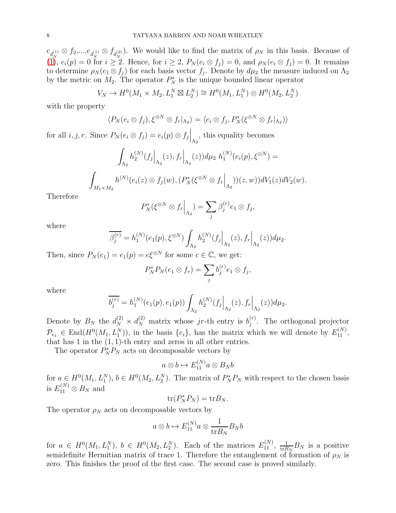$e_{d_N^{(1)}} \otimes f_2, \dots, e_{d_N^{(1)}} \otimes f_{d_N^{(2)}}$ . We would like to find the matrix of  $\rho_N$  in this basis. Because of [\(1\)](#page-5-3),  $e_i(p) = 0$  for  $i \geq 2$ . Hence, for  $i \geq 2$ ,  $P_N(e_i \otimes f_j) = 0$ , and  $\rho_N(e_i \otimes f_j) = 0$ . It remains to determine  $\rho_N(e_1 \otimes f_j)$  for each basis vector  $f_j$ . Denote by  $d\mu_2$  the measure induced on  $\Lambda_2$ by the metric on  $M_2$ . The operator  $P_N^*$  is the unique bounded linear operator

$$
V_N \to H^0(M_1 \times M_2, L_1^N \boxtimes L_2^N) \cong H^0(M_1, L_1^N) \otimes H^0(M_2, L_2^N)
$$

with the property

$$
\langle P_N(e_i \otimes f_j), \xi^{\otimes N} \otimes f_r |_{\Lambda_2} \rangle = \langle e_i \otimes f_j, P_N^*(\xi^{\otimes N} \otimes f_r |_{\Lambda_2}) \rangle
$$

for all  $i, j, r$ . Since  $P_N(e_i \otimes f_j) = e_i(p) \otimes f_j \Big|_{\Lambda_2}$ , this equality becomes

$$
\int_{\Lambda_2} h_2^{(N)}(f_j|_{\Lambda_2}(z), f_r|_{\Lambda_2}(z)) d\mu_2 \ h_1^{(N)}(e_i(p), \xi^{\otimes N}) =
$$
  

$$
\int_{M_1 \times M_2} h^{(N)}(e_i(z) \otimes f_j(w), (P_N^*(\xi^{\otimes N} \otimes f_r|_{\Lambda_2})) (z, w)) dV_1(z) dV_2(w).
$$

Therefore

$$
P_N^*(\xi^{\otimes N} \otimes f_r \Big|_{\Lambda_2}) = \sum_j \beta_j^{(r)} e_1 \otimes f_j,
$$

where

$$
\overline{\beta_j^{(r)}} = h_1^{(N)}(e_1(p), \xi^{\otimes N}) \int_{\Lambda_2} h_2^{(N)}(f_j \Big|_{\Lambda_2}(z), f_r \Big|_{\Lambda_2}(z)) d\mu_2.
$$

Then, since  $P_N(e_1) = e_1(p) = c\xi^{\otimes N}$  for some  $c \in \mathbb{C}$ , we get:

$$
P_N^* P_N(e_1 \otimes f_r) = \sum_j b_j^{(r)} e_1 \otimes f_j,
$$

where

$$
\overline{b_j^{(r)}} = h_1^{(N)}(e_1(p), e_1(p)) \int_{\Lambda_2} h_2^{(N)}(f_j|_{\Lambda_2}(z), f_r|_{\Lambda_2}(z)) d\mu_2.
$$

Denote by  $B_N$  the  $d_N^{(2)} \times d_N^{(2)}$  matrix whose jr-th entry is  $b_j^{(r)}$  $j^{(r)}$ . The orthogonal projector  $\mathcal{P}_{e_1} \in \text{End}(H^0(M_1, L_1^N))$ , in the basis  $\{e_i\}$ , has the matrix which we will denote by  $E_{11}^{(N)}$ , that has 1 in the  $(1, 1)$ -th entry and zeros in all other entries.

The operator  $P_N^*P_N$  acts on decomposable vectors by

$$
a\otimes b\mapsto E_{11}^{(N)}a\otimes B_Nb
$$

for  $a \in H^0(M_1, L_1^N)$ ,  $b \in H^0(M_2, L_2^N)$ . The matrix of  $P_N^* P_N$  with respect to the chosen basis is  $E_{11}^{(N)} \otimes B_N$  and

$$
\operatorname{tr}(P_N^*P_N)=\operatorname{tr}B_N.
$$

The operator  $\rho_N$  acts on decomposable vectors by

$$
a\otimes b\mapsto E_{11}^{(N)}a\otimes\frac{1}{\mathrm{tr} B_N}B_Nb
$$

for  $a \in H^0(M_1, L_1^N)$ ,  $b \in H^0(M_2, L_2^N)$ . Each of the matrices  $E_{11}^{(N)}$ ,  $\frac{1}{\text{tr }B}$  $\frac{1}{\text{tr}B_N}B_N$  is a positive semidefinite Hermitian matrix of trace 1. Therefore the entanglement of formation of  $\rho_N$  is zero. This finishes the proof of the first case. The second case is proved similarly.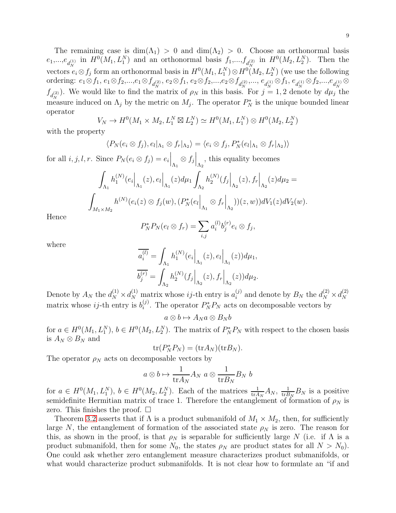The remaining case is  $\dim(\Lambda_1) > 0$  and  $\dim(\Lambda_2) > 0$ . Choose an orthonormal basis  $e_1,...,e_{d_N^{(1)}}$  in  $H^0(M_1, L_1^N)$  and an orthonormal basis  $f_1,...,f_{d_N^{(2)}}$  in  $H^0(M_2, L_2^N)$ . Then the vectors  $e_i \otimes f_j$  form an orthonormal basis in  $H^0(M_1, L_1^N) \otimes H^0(M_2, L_2^N)$  (we use the following ordering:  $e_1 \otimes f_1, e_1 \otimes f_2, ..., e_1 \otimes f_{d_N^{(2)}}, e_2 \otimes f_1, e_2 \otimes f_2, ..., e_2 \otimes f_{d_N^{(2)}}, ..., e_{d_N^{(1)}} \otimes f_1, e_{d_N^{(1)}} \otimes f_2, ..., e_{d_N^{(1)}} \otimes f_2, ..., e_{d_N^{(2)}}$  $f_{d_N^{(2)}}$ ). We would like to find the matrix of  $\rho_N$  in this basis. For  $j = 1, 2$  denote by  $d\mu_j$  the measure induced on  $\Lambda_j$  by the metric on  $M_j$ . The operator  $P_N^*$  is the unique bounded linear operator

$$
V_N \to H^0(M_1 \times M_2, L_1^N \boxtimes L_2^N) \simeq H^0(M_1, L_1^N) \otimes H^0(M_2, L_2^N)
$$

with the property

$$
\langle P_N(e_i \otimes f_j), e_l |_{\Lambda_1} \otimes f_r |_{\Lambda_2} \rangle = \langle e_i \otimes f_j, P_N^*(e_l |_{\Lambda_1} \otimes f_r |_{\Lambda_2}) \rangle
$$

for all  $i, j, l, r$ . Since  $P_N(e_i \otimes f_j) = e_i \Big|_{\Lambda_1} \otimes f_j \Big|_{\Lambda_2}$ , this equality becomes

$$
\int_{\Lambda_1} h_1^{(N)}(e_i \Big|_{\Lambda_1}(z), e_l \Big|_{\Lambda_1}(z) d\mu_1 \int_{\Lambda_2} h_2^{(N)}(f_j \Big|_{\Lambda_2}(z), f_r \Big|_{\Lambda_2}(z) d\mu_2 =
$$
  

$$
\int_{M_1 \times M_2} h^{(N)}(e_i(z) \otimes f_j(w), (P_N^*(e_l \Big|_{\Lambda_1} \otimes f_r \Big|_{\Lambda_2}))(z, w)) dV_1(z) dV_2(w).
$$

Hence

$$
P_N^* P_N(e_l \otimes f_r) = \sum_{i,j} a_i^{(l)} b_j^{(r)} e_i \otimes f_j,
$$

where

$$
\overline{a_i^{(l)}} = \int_{\Lambda_1} h_1^{(N)}(e_i \Big|_{\Lambda_1}(z), e_l \Big|_{\Lambda_1}(z)) d\mu_1,
$$
  

$$
\overline{b_j^{(r)}} = \int_{\Lambda_2} h_2^{(N)}(f_j \Big|_{\Lambda_2}(z), f_r \Big|_{\Lambda_2}(z)) d\mu_2.
$$

Denote by  $A_N$  the  $d_N^{(1)} \times d_N^{(1)}$  matrix whose *ij*-th entry is  $a_i^{(j)}$  $i_j^{(j)}$  and denote by  $B_N$  the  $d_N^{(2)} \times d_N^{(2)}$ N matrix whose  $ij$ -th entry is  $b_i^{(j)}$ <sup>(*j*)</sup>. The operator  $P_N^*P_N$  acts on decomposable vectors by

$$
a\otimes b\mapsto A_Na\otimes B_Nb
$$

for  $a \in H^0(M_1, L_1^N)$ ,  $b \in H^0(M_2, L_2^N)$ . The matrix of  $P_N^* P_N$  with respect to the chosen basis is  $A_N \otimes B_N$  and

$$
\operatorname{tr}(P_N^*P_N)=(\operatorname{tr} A_N)(\operatorname{tr} B_N).
$$

The operator  $\rho_N$  acts on decomposable vectors by

$$
a \otimes b \mapsto \frac{1}{\text{tr}A_N} A_N \ a \otimes \frac{1}{\text{tr}B_N} B_N \ b
$$

for  $a \in H^0(M_1, L_1^N)$ ,  $b \in H^0(M_2, L_2^N)$ . Each of the matrices  $\frac{1}{\text{tr}A_N}A_N$ ,  $\frac{1}{\text{tr}B_N}$  $\frac{1}{\text{tr}B_N}B_N$  is a positive semidefinite Hermitian matrix of trace 1. Therefore the entanglement of formation of  $\rho_N$  is zero. This finishes the proof.  $\square$ 

Theorem [3.2](#page-5-0) asserts that if  $\Lambda$  is a product submanifold of  $M_1 \times M_2$ , then, for sufficiently large N, the entanglement of formation of the associated state  $\rho_N$  is zero. The reason for this, as shown in the proof, is that  $\rho_N$  is separable for sufficiently large N (i.e. if  $\Lambda$  is a product submanifold, then for some  $N_0$ , the states  $\rho_N$  are product states for all  $N > N_0$ ). One could ask whether zero entanglement measure characterizes product submanifolds, or what would characterize product submanifolds. It is not clear how to formulate an "if and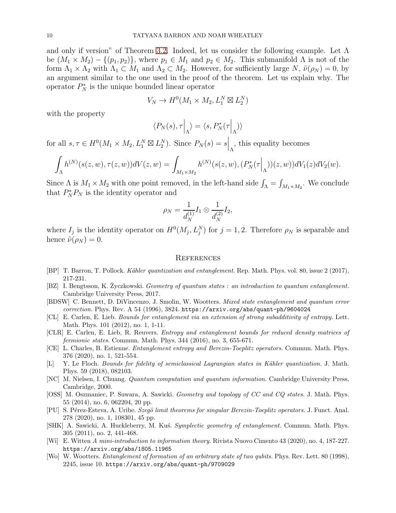and only if version" of Theorem [3.2.](#page-5-0) Indeed, let us consider the following example. Let  $\Lambda$ be  $(M_1 \times M_2) - \{(p_1, p_2)\}\$ , where  $p_1 \in M_1$  and  $p_2 \in M_2$ . This submanifold  $\Lambda$  is not of the form  $\Lambda_1 \times \Lambda_2$  with  $\Lambda_1 \subset M_1$  and  $\Lambda_2 \subset M_2$ . However, for sufficiently large N,  $\tilde{\nu}(\rho_N) = 0$ , by an argument similar to the one used in the proof of the theorem. Let us explain why. The operator  $P_N^*$  is the unique bounded linear operator

$$
V_N \to H^0(M_1 \times M_2, L_1^N \boxtimes L_2^N)
$$

with the property

$$
\langle P_N(s), \tau \Big|_{\Lambda} \rangle = \langle s, P_N^*(\tau \Big|_{\Lambda}) \rangle
$$

for all  $s, \tau \in H^0(M_1 \times M_2, L_1^N \boxtimes L_2^N)$ . Since  $P_N(s) = s \Big|_{\Lambda}$ , this equality becomes

$$
\int_{\Lambda} h^{(N)}(s(z, w), \tau(z, w)) dV(z, w) = \int_{M_1 \times M_2} h^{(N)}(s(z, w), (P_N^*(\tau \Big|_{\Lambda}))(z, w)) dV_1(z) dV_2(w).
$$

Since  $\Lambda$  is  $M_1 \times M_2$  with one point removed, in the left-hand side  $\int_{\Lambda} = \int_{M_1 \times M_2}$ . We conclude that  $P_N^*P_N$  is the identity operator and

$$
\rho_N = \frac{1}{d_N^{(1)}} I_1 \otimes \frac{1}{d_N^{(2)}} I_2,
$$

where  $I_j$  is the identity operator on  $H^0(M_j, L_j^N)$  for  $j = 1, 2$ . Therefore  $\rho_N$  is separable and hence  $\tilde{\nu}(\rho_N) = 0$ .

#### **REFERENCES**

- <span id="page-9-0"></span>[BP] T. Barron, T. Pollock. Kähler quantization and entanglement. Rep. Math. Phys. vol. 80, issue 2 (2017), 217-231.
- <span id="page-9-9"></span>[BZ] I. Bengtsson, K. Zyczkowski. Geometry of quantum states : an introduction to quantum entanglement. Cambridge University Press, 2017.
- <span id="page-9-11"></span>[BDSW] C. Bennett, D. DiVincenzo, J. Smolin, W. Wootters. Mixed state entanglement and quantum error correction. Phys. Rev. A 54 (1996), 3824. https://arxiv.org/abs/quant-ph/9604024
- <span id="page-9-2"></span>[CL] E. Carlen, E. Lieb. Bounds for entanglement via an extension of strong subadditivity of entropy. Lett. Math. Phys. 101 (2012), no. 1, 1-11.
- <span id="page-9-3"></span>[CLR] E. Carlen, E. Lieb, R. Reuvers. Entropy and entanglement bounds for reduced density matrices of fermionic states. Commun. Math. Phys. 344 (2016), no. 3, 655-671.
- <span id="page-9-7"></span>[CE] L. Charles, B. Estienne. Entanglement entropy and Berezin-Toeplitz operators. Commun. Math. Phys. 376 (2020), no. 1, 521-554.
- <span id="page-9-6"></span>[L] Y. Le Floch. Bounds for fidelity of semiclassical Lagrangian states in Kähler quantization. J. Math. Phys. 59 (2018), 082103.
- <span id="page-9-1"></span>[NC] M. Nielsen, I. Chuang. Quantum computation and quantum information. Cambridge University Press, Cambridge, 2000.
- <span id="page-9-4"></span>[OSS] M. Oszmaniec, P. Suwara, A. Sawicki. Geometry and topology of CC and CQ states. J. Math. Phys. 55 (2014), no. 6, 062204, 20 pp.
- <span id="page-9-8"></span>[PU] S. Pérez-Esteva, A. Uribe. Szegö limit theorems for singular Berezin-Toeplitz operators. J. Funct. Anal. 278 (2020), no. 1, 108301, 45 pp.
- <span id="page-9-5"></span>[SHK] A. Sawicki, A. Huckleberry, M. Kus. Symplectic geometry of entanglement. Commun. Math. Phys. 305 (2011), no. 2, 441-468.
- <span id="page-9-10"></span>[Wi] E. Witten A mini-introduction to information theory. Rivista Nuovo Cimento 43 (2020), no. 4, 187-227. https://arxiv.org/abs/1805.11965
- <span id="page-9-12"></span>[Wo] W. Wootters. Entanglement of formation of an arbitrary state of two qubits. Phys. Rev. Lett. 80 (1998), 2245, issue 10. https://arxiv.org/abs/quant-ph/9709029